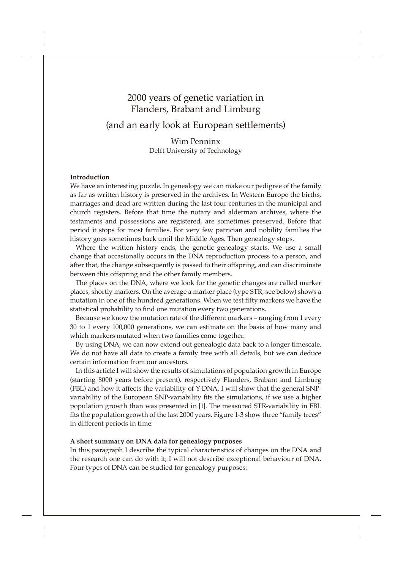(and an early look at European settlements)

Wim Penninx Delft University of Technology

# **Introduction**

We have an interesting puzzle. In genealogy we can make our pedigree of the family as far as written history is preserved in the archives. In Western Europe the births, marriages and dead are written during the last four centuries in the municipal and church registers. Before that time the notary and alderman archives, where the testaments and possessions are registered, are sometimes preserved. Before that period it stops for most families. For very few patrician and nobility families the history goes sometimes back until the Middle Ages. Then genealogy stops.

Where the written history ends, the genetic genealogy starts. We use a small change that occasionally occurs in the DNA reproduction process to a person, and after that, the change subsequently is passed to their offspring, and can discriminate between this offspring and the other family members.

The places on the DNA, where we look for the genetic changes are called marker places, shortly markers. On the average a marker place (type STR, see below) shows a mutation in one of the hundred generations. When we test fifty markers we have the statistical probability to find one mutation every two generations.

Because we know the mutation rate of the different markers – ranging from 1 every 30 to 1 every 100,000 generations, we can estimate on the basis of how many and which markers mutated when two families come together.

By using DNA, we can now extend out genealogic data back to a longer timescale. We do not have all data to create a family tree with all details, but we can deduce certain information from our ancestors.

In this article I will show the results of simulations of population growth in Europe (starting 8000 years before present), respectively Flanders, Brabant and Limburg (FBL) and how it affects the variability of Y-DNA. I will show that the general SNPvariability of the European SNP-variability fits the simulations, if we use a higher population growth than was presented in [1]. The measured STR-variability in FBL fits the population growth of the last 2000 years. Figure 1-3 show three "family trees" in different periods in time:

#### **A short summary on DNA data for genealogy purposes**

In this paragraph I describe the typical characteristics of changes on the DNA and the research one can do with it; I will not describe exceptional behaviour of DNA. Four types of DNA can be studied for genealogy purposes: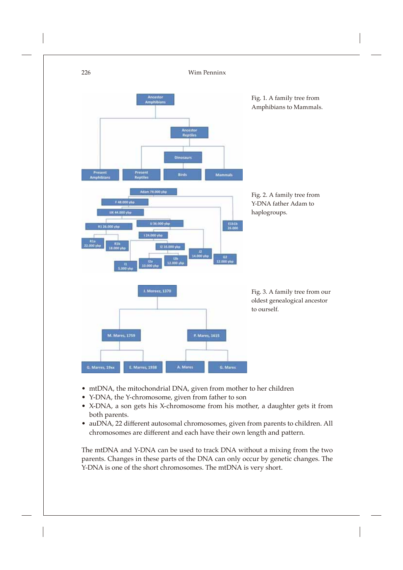

- mtDNA, the mitochondrial DNA, given from mother to her children
- Y-DNA, the Y-chromosome, given from father to son
- X-DNA, a son gets his X-chromosome from his mother, a daughter gets it from both parents.
- auDNA, 22 different autosomal chromosomes, given from parents to children. All chromosomes are different and each have their own length and pattern.

The mtDNA and Y-DNA can be used to track DNA without a mixing from the two parents. Changes in these parts of the DNA can only occur by genetic changes. The Y-DNA is one of the short chromosomes. The mtDNA is very short.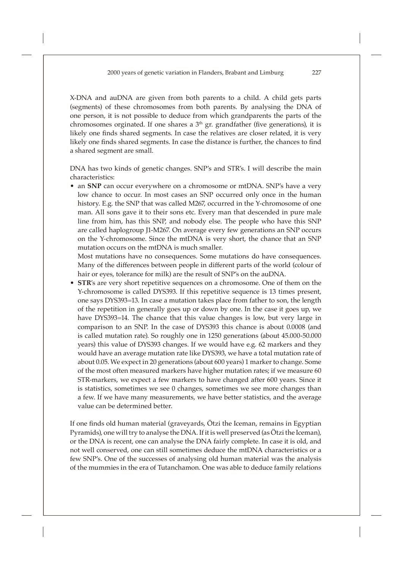X-DNA and auDNA are given from both parents to a child. A child gets parts (segments) of these chromosomes from both parents. By analysing the DNA of one person, it is not possible to deduce from which grandparents the parts of the chromosomes orginated. If one shares a  $3<sup>th</sup>$  gr. grandfather (five generations), it is likely one finds shared segments. In case the relatives are closer related, it is very likely one finds shared segments. In case the distance is further, the chances to find a shared segment are small.

DNA has two kinds of genetic changes. SNP's and STR's. I will describe the main characteristics:

• an **SNP** can occur everywhere on a chromosome or mtDNA. SNP's have a very low chance to occur. In most cases an SNP occurred only once in the human history. E.g. the SNP that was called M267, occurred in the Y-chromosome of one man. All sons gave it to their sons etc. Every man that descended in pure male line from him, has this SNP, and nobody else. The people who have this SNP are called haplogroup J1-M267. On average every few generations an SNP occurs on the Y-chromosome. Since the mtDNA is very short, the chance that an SNP mutation occurs on the mtDNA is much smaller.

 Most mutations have no consequences. Some mutations do have consequences. Many of the differences between people in different parts of the world (colour of hair or eyes, tolerance for milk) are the result of SNP's on the auDNA.

**STR's** are very short repetitive sequences on a chromosome. One of them on the Y-chromosome is called DYS393. If this repetitive sequence is 13 times present, one says DYS393=13. In case a mutation takes place from father to son, the length of the repetition in generally goes up or down by one. In the case it goes up, we have DYS393=14. The chance that this value changes is low, but very large in comparison to an SNP. In the case of DYS393 this chance is about 0.0008 (and is called mutation rate). So roughly one in 1250 generations (about 45.000-50.000 years) this value of DYS393 changes. If we would have e.g. 62 markers and they would have an average mutation rate like DYS393, we have a total mutation rate of about 0.05. We expect in 20 generations (about 600 years) 1 marker to change. Some of the most often measured markers have higher mutation rates; if we measure 60 STR-markers, we expect a few markers to have changed after 600 years. Since it is statistics, sometimes we see 0 changes, sometimes we see more changes than a few. If we have many measurements, we have better statistics, and the average value can be determined better.

If one finds old human material (graveyards, Ötzi the Iceman, remains in Egyptian Pyramids), one will try to analyse the DNA. If it is well preserved (as Ötzi the Iceman), or the DNA is recent, one can analyse the DNA fairly complete. In case it is old, and not well conserved, one can still sometimes deduce the mtDNA characteristics or a few SNP's. One of the successes of analysing old human material was the analysis of the mummies in the era of Tutanchamon. One was able to deduce family relations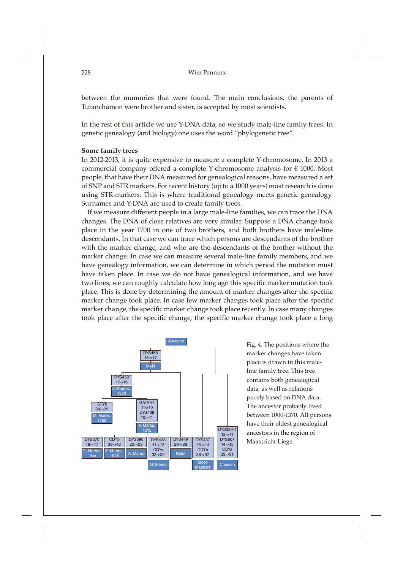between the mummies that were found. The main conclusions, the parents of Tutanchamon were brother and sister, is accepted by most scientists.

In the rest of this article we use Y-DNA data, so we study male-line family trees. In genetic genealogy (and biology) one uses the word "phylogenetic tree".

#### **Some family trees**

In 2012-2013, it is quite expensive to measure a complete Y-chromosome. In 2013 a commercial company offered a complete Y-chromosome analysis for  $\epsilon$  1000. Most people, that have their DNA measured for genealogical reasons, have measured a set of SNP and STR markers. For recent history (up to a 1000 years) most research is done using STR-markers. This is where traditional genealogy meets genetic genealogy. Surnames and Y-DNA are used to create family trees.

If we measure different people in a large male-line families, we can trace the DNA changes. The DNA of close relatives are very similar. Suppose a DNA change took place in the year 1700 in one of two brothers, and both brothers have male-line descendants. In that case we can trace which persons are descendants of the brother with the marker change, and who are the descendants of the brother without the marker change. In case we can measure several male-line family members, and we have genealogy information, we can determine in which period the mutation must have taken place. In case we do not have genealogical information, and we have two lines, we can roughly calculate how long ago this specific marker mutation took place. This is done by determining the amount of marker changes after the specific marker change took place. In case few marker changes took place after the specific marker change, the specific marker change took place recently. In case many changes took place after the specific change, the specific marker change took place a long



Fig. 4. The positions where the marker changes have taken place is drawn in this maleline family tree. This tree contains both genealogical data, as well as relations purely based on DNA data. The ancestor probably lived between 1000-1370. All persons have their oldest genealogical ancestors in the region of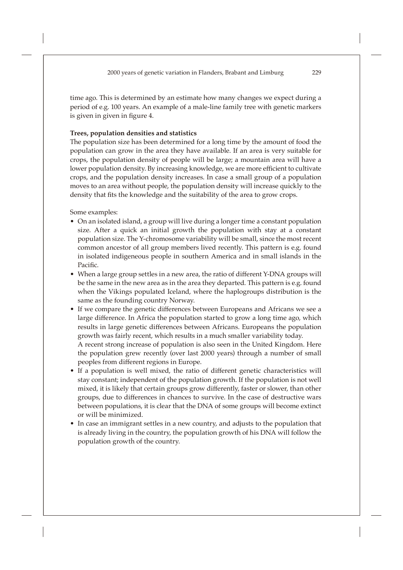time ago. This is determined by an estimate how many changes we expect during a period of e.g. 100 years. An example of a male-line family tree with genetic markers is given in given in figure 4.

#### **Trees, population densities and statistics**

The population size has been determined for a long time by the amount of food the population can grow in the area they have available. If an area is very suitable for crops, the population density of people will be large; a mountain area will have a lower population density. By increasing knowledge, we are more efficient to cultivate crops, and the population density increases. In case a small group of a population moves to an area without people, the population density will increase quickly to the density that fits the knowledge and the suitability of the area to grow crops.

Some examples:

- On an isolated island, a group will live during a longer time a constant population size. After a quick an initial growth the population with stay at a constant population size. The Y-chromosome variability will be small, since the most recent common ancestor of all group members lived recently. This pattern is e.g. found in isolated indigeneous people in southern America and in small islands in the Pacific.
- When a large group settles in a new area, the ratio of different Y-DNA groups will be the same in the new area as in the area they departed. This pattern is e.g. found when the Vikings populated Iceland, where the haplogroups distribution is the same as the founding country Norway.
- If we compare the genetic differences between Europeans and Africans we see a large difference. In Africa the population started to grow a long time ago, which results in large genetic differences between Africans. Europeans the population growth was fairly recent, which results in a much smaller variability today. A recent strong increase of population is also seen in the United Kingdom. Here the population grew recently (over last 2000 years) through a number of small peoples from different regions in Europe.
- If a population is well mixed, the ratio of different genetic characteristics will stay constant; independent of the population growth. If the population is not well mixed, it is likely that certain groups grow differently, faster or slower, than other groups, due to differences in chances to survive. In the case of destructive wars between populations, it is clear that the DNA of some groups will become extinct or will be minimized.
- In case an immigrant settles in a new country, and adjusts to the population that is already living in the country, the population growth of his DNA will follow the population growth of the country.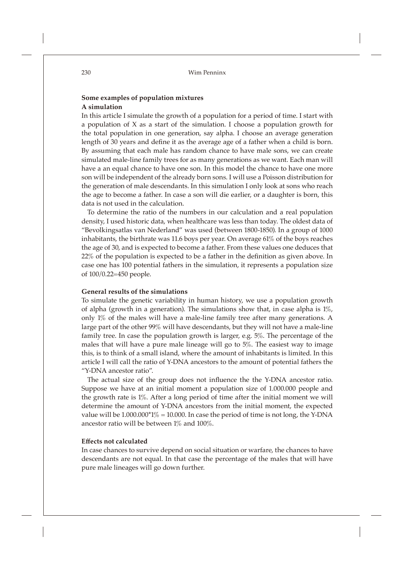# **Some examples of population mixtures A simulation**

In this article I simulate the growth of a population for a period of time. I start with a population of X as a start of the simulation. I choose a population growth for the total population in one generation, say alpha. I choose an average generation length of 30 years and define it as the average age of a father when a child is born. By assuming that each male has random chance to have male sons, we can create simulated male-line family trees for as many generations as we want. Each man will have a an equal chance to have one son. In this model the chance to have one more son will be independent of the already born sons. I will use a Poisson distribution for the generation of male descendants. In this simulation I only look at sons who reach the age to become a father. In case a son will die earlier, or a daughter is born, this data is not used in the calculation.

To determine the ratio of the numbers in our calculation and a real population density, I used historic data, when healthcare was less than today. The oldest data of "Bevolkingsatlas van Nederland" was used (between 1800-1850). In a group of 1000 inhabitants, the birthrate was 11.6 boys per year. On average 61% of the boys reaches the age of 30, and is expected to become a father. From these values one deduces that  $22\%$  of the population is expected to be a father in the definition as given above. In case one has 100 potential fathers in the simulation, it represents a population size of 100/0.22=450 people.

# **General results of the simulations**

To simulate the genetic variability in human history, we use a population growth of alpha (growth in a generation). The simulations show that, in case alpha is 1%, only 1% of the males will have a male-line family tree after many generations. A large part of the other 99% will have descendants, but they will not have a male-line family tree. In case the population growth is larger, e.g. 5%. The percentage of the males that will have a pure male lineage will go to 5%. The easiest way to image this, is to think of a small island, where the amount of inhabitants is limited. In this article I will call the ratio of Y-DNA ancestors to the amount of potential fathers the "Y-DNA ancestor ratio".

The actual size of the group does not influence the the Y-DNA ancestor ratio. Suppose we have at an initial moment a population size of 1.000.000 people and the growth rate is 1%. After a long period of time after the initial moment we will determine the amount of Y-DNA ancestors from the initial moment, the expected value will be  $1.000.000*1\% = 10.000$ . In case the period of time is not long, the Y-DNA ancestor ratio will be between 1% and 100%.

# **Eff ects not calculated**

In case chances to survive depend on social situation or warfare, the chances to have descendants are not equal. In that case the percentage of the males that will have pure male lineages will go down further.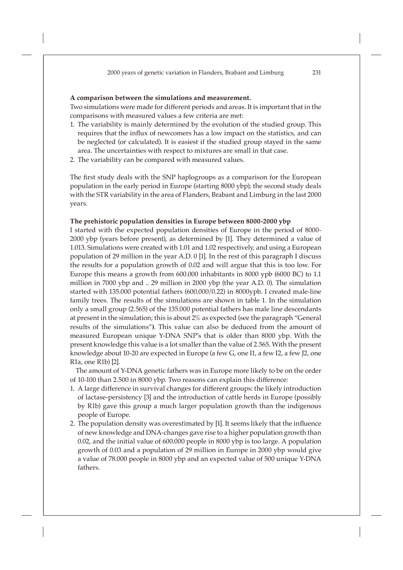#### **A comparison between the simulations and measurement.**

Two simulations were made for different periods and areas. It is important that in the comparisons with measured values a few criteria are met:

- 1. The variability is mainly determined by the evolution of the studied group. This requires that the influx of newcomers has a low impact on the statistics, and can be neglected (or calculated). It is easiest if the studied group stayed in the same area. The uncertainties with respect to mixtures are small in that case.
- 2. The variability can be compared with measured values.

The first study deals with the SNP haplogroups as a comparison for the European population in the early period in Europe (starting 8000 ybp); the second study deals with the STR variability in the area of Flanders, Brabant and Limburg in the last 2000 years.

#### **The prehistoric population densities in Europe between 8000-2000 ybp**

I started with the expected population densities of Europe in the period of 8000- 2000 ybp (years before present), as determined by [1]. They determined a value of 1.013. Simulations were created with 1.01 and 1.02 respectively, and using a European population of 29 million in the year A.D. 0 [1]. In the rest of this paragraph I discuss the results for a population growth of 0.02 and will argue that this is too low. For Europe this means a growth from 600.000 inhabitants in 8000 ypb (6000 BC) to 1.1 million in 7000 ybp and .. 29 million in 2000 ybp (the year A.D. 0). The simulation started with 135.000 potential fathers (600.000/0.22) in 8000ypb. I created male-line family trees. The results of the simulations are shown in table 1. In the simulation only a small group (2.565) of the 135.000 potential fathers has male line descendants at present in the simulation; this is about 2% as expected (see the paragraph "General results of the simulations"**)**. This value can also be deduced from the amount of measured European unique Y-DNA SNP's that is older than 8000 ybp. With the present knowledge this value is a lot smaller than the value of 2.565. With the present knowledge about 10-20 are expected in Europe (a few G, one I1, a few I2, a few J2, one R1a, one R1b) [2].

The amount of Y-DNA genetic fathers was in Europe more likely to be on the order of 10-100 than 2.500 in 8000 ybp. Two reasons can explain this difference:

- 1. A large difference in survival changes for different groups: the likely introduction of lactase-persistency [3] and the introduction of cattle herds in Europe (possibly by R1b) gave this group a much larger population growth than the indigenous people of Europe.
- 2. The population density was overestimated by [1]. It seems likely that the influence of new knowledge and DNA-changes gave rise to a higher population growth than 0.02, and the initial value of 600.000 people in 8000 ybp is too large. A population growth of 0.03 and a population of 29 million in Europe in 2000 ybp would give a value of 78.000 people in 8000 ybp and an expected value of 500 unique Y-DNA fathers.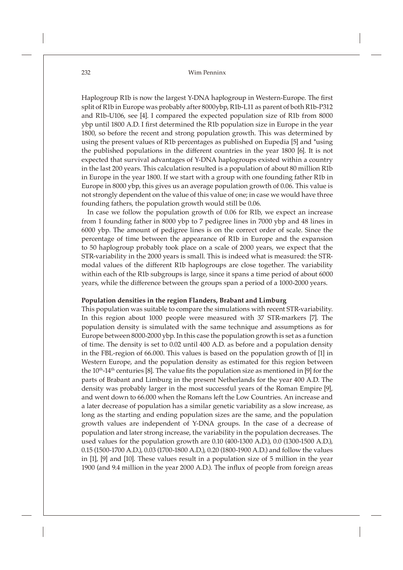Haplogroup R1b is now the largest Y-DNA haplogroup in Western-Europe. The first split of R1b in Europe was probably after 8000ybp, R1b-L11 as parent of both R1b-P312 and R1b-U106, see [4]. I compared the expected population size of R1b from 8000 ybp until 1800 A.D. I first determined the R1b population size in Europe in the year 1800, so before the recent and strong population growth. This was determined by using the present values of R1b percentages as published on Eupedia [5] and \*using the published populations in the different countries in the year 1800 [6]. It is not expected that survival advantages of Y-DNA haplogroups existed within a country in the last 200 years. This calculation resulted is a population of about 80 million R1b in Europe in the year 1800. If we start with a group with one founding father R1b in Europe in 8000 ybp, this gives us an average population growth of 0.06. This value is not strongly dependent on the value of this value of one; in case we would have three founding fathers, the population growth would still be 0.06.

In case we follow the population growth of 0.06 for R1b, we expect an increase from 1 founding father in 8000 ybp to 7 pedigree lines in 7000 ybp and 48 lines in 6000 ybp. The amount of pedigree lines is on the correct order of scale. Since the percentage of time between the appearance of R1b in Europe and the expansion to 50 haplogroup probably took place on a scale of 2000 years, we expect that the STR-variability in the 2000 years is small. This is indeed what is measured: the STRmodal values of the different R1b haplogroups are close together. The variability within each of the R1b subgroups is large, since it spans a time period of about 6000 years, while the difference between the groups span a period of a 1000-2000 years.

# **Population densities in the region Flanders, Brabant and Limburg**

This population was suitable to compare the simulations with recent STR-variability. In this region about 1000 people were measured with 37 STR-markers [7]. The population density is simulated with the same technique and assumptions as for Europe between 8000-2000 ybp. In this case the population growth is set as a function of time. The density is set to 0.02 until 400 A.D. as before and a population density in the FBL-region of 66.000. This values is based on the population growth of [1] in Western Europe, and the population density as estimated for this region between the  $10^{th}$ -14<sup>th</sup> centuries [8]. The value fits the population size as mentioned in [9] for the parts of Brabant and Limburg in the present Netherlands for the year 400 A.D. The density was probably larger in the most successful years of the Roman Empire [9], and went down to 66.000 when the Romans left the Low Countries. An increase and a later decrease of population has a similar genetic variability as a slow increase, as long as the starting and ending population sizes are the same, and the population growth values are independent of Y-DNA groups. In the case of a decrease of population and later strong increase, the variability in the population decreases. The used values for the population growth are 0.10 (400-1300 A.D.), 0.0 (1300-1500 A.D.), 0.15 (1500-1700 A.D.), 0.03 (1700-1800 A.D.), 0.20 (1800-1900 A.D.) and follow the values in [1], [9] and [10]. These values result in a population size of 5 million in the year 1900 (and 9.4 million in the year 2000 A.D.). The influx of people from foreign areas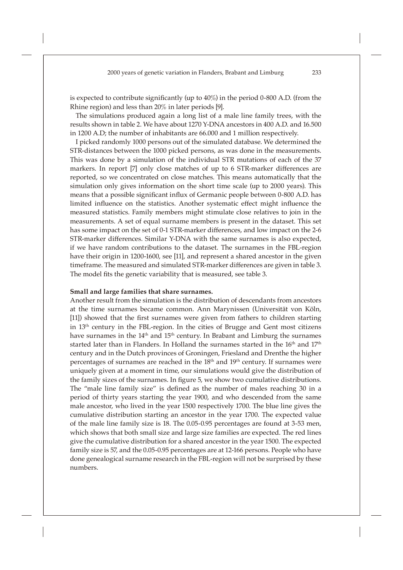is expected to contribute significantly (up to  $40\%$ ) in the period 0-800 A.D. (from the Rhine region) and less than 20% in later periods [9].

The simulations produced again a long list of a male line family trees, with the results shown in table 2. We have about 1270 Y-DNA ancestors in 400 A.D. and 16.500 in 1200 A.D; the number of inhabitants are 66.000 and 1 million respectively.

I picked randomly 1000 persons out of the simulated database. We determined the STR-distances between the 1000 picked persons, as was done in the measurements. This was done by a simulation of the individual STR mutations of each of the 37 markers. In report  $[7]$  only close matches of up to 6 STR-marker differences are reported, so we concentrated on close matches. This means automatically that the simulation only gives information on the short time scale (up to 2000 years). This means that a possible significant influx of Germanic people between 0-800 A.D. has limited influence on the statistics. Another systematic effect might influence the measured statistics. Family members might stimulate close relatives to join in the measurements. A set of equal surname members is present in the dataset. This set has some impact on the set of 0-1 STR-marker differences, and low impact on the 2-6 STR-marker differences. Similar Y-DNA with the same surnames is also expected, if we have random contributions to the dataset. The surnames in the FBL-region have their origin in 1200-1600, see [11], and represent a shared ancestor in the given timeframe. The measured and simulated STR-marker differences are given in table 3. The model fits the genetic variability that is measured, see table 3.

#### **Small and large families that share surnames.**

Another result from the simulation is the distribution of descendants from ancestors at the time surnames became common. Ann Marynissen (Universität von Köln, [11]) showed that the first surnames were given from fathers to children starting in 13<sup>th</sup> century in the FBL-region. In the cities of Brugge and Gent most citizens have surnames in the 14<sup>th</sup> and 15<sup>th</sup> century. In Brabant and Limburg the surnames started later than in Flanders. In Holland the surnames started in the 16<sup>th</sup> and 17<sup>th</sup> century and in the Dutch provinces of Groningen, Friesland and Drenthe the higher percentages of surnames are reached in the 18th and 19th century. If surnames were uniquely given at a moment in time, our simulations would give the distribution of the family sizes of the surnames. In figure 5, we show two cumulative distributions. The "male line family size" is defined as the number of males reaching 30 in a period of thirty years starting the year 1900, and who descended from the same male ancestor, who lived in the year 1500 respectively 1700. The blue line gives the cumulative distribution starting an ancestor in the year 1700. The expected value of the male line family size is 18. The 0.05-0.95 percentages are found at 3-53 men, which shows that both small size and large size families are expected. The red lines give the cumulative distribution for a shared ancestor in the year 1500. The expected family size is 57, and the 0.05-0.95 percentages are at 12-166 persons. People who have done genealogical surname research in the FBL-region will not be surprised by these numbers.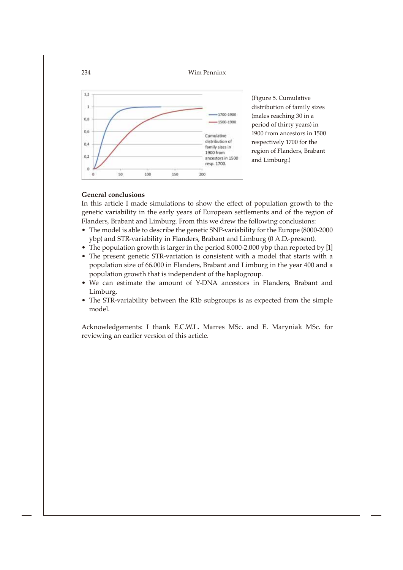

(Figure 5. Cumulative distribution of family sizes (males reaching 30 in a period of thirty years) in 1900 from ancestors in 1500 respectively 1700 for the region of Flanders, Brabant and Limburg.)

# **General conclusions**

In this article I made simulations to show the effect of population growth to the genetic variability in the early years of European settlements and of the region of Flanders, Brabant and Limburg. From this we drew the following conclusions:

- The model is able to describe the genetic SNP-variability for the Europe (8000-2000 ybp) and STR-variability in Flanders, Brabant and Limburg (0 A.D.-present).
- The population growth is larger in the period 8.000-2.000 ybp than reported by [1]
- The present genetic STR-variation is consistent with a model that starts with a population size of 66.000 in Flanders, Brabant and Limburg in the year 400 and a population growth that is independent of the haplogroup.
- We can estimate the amount of Y-DNA ancestors in Flanders, Brabant and Limburg.
- The STR-variability between the R1b subgroups is as expected from the simple model.

Acknowledgements: I thank E.C.W.L. Marres MSc. and E. Maryniak MSc. for reviewing an earlier version of this article.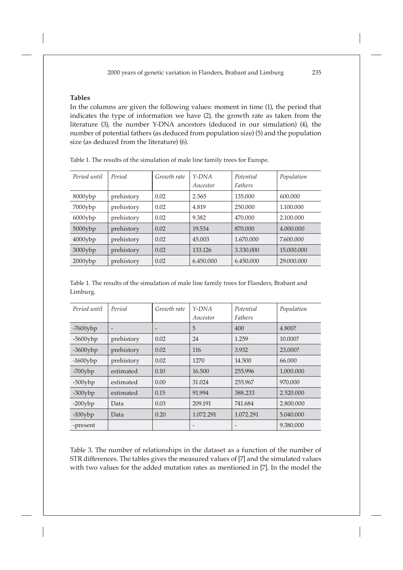# **Tables**

In the columns are given the following values: moment in time (1), the period that indicates the type of information we have (2), the growth rate as taken from the literature (3), the number Y-DNA ancestors (deduced in our simulation) (4), the number of potential fathers (as deduced from population size) (5) and the population size (as deduced from the literature) (6).

| Period until | Period     | Growth rate | $Y-DNA$<br>Ancestor | Potential<br><b>Fathers</b> | Population |
|--------------|------------|-------------|---------------------|-----------------------------|------------|
| $8000$ ybp   | prehistory | 0.02        | 2.565               | 135,000                     | 600,000    |
| 7000ybp      | prehistory | 0.02        | 4.819               | 250,000                     | 1.100.000  |
| $6000$ ybp   | prehistory | 0.02        | 9.382               | 470.000                     | 2.100.000  |
| $5000$ ybp   | prehistory | 0.02        | 19.534              | 870.000                     | 4.000.000  |
| $4000$ ybp   | prehistory | 0.02        | 45,003              | 1.670.000                   | 7.600.000  |
| $3000$ ybp   | prehistory | 0.02        | 133.126             | 3.330.000                   | 15,000,000 |
| $2000$ ybp   | prehistory | 0.02        | 6.450.000           | 6.450.000                   | 29.000.000 |

Table 1. The results of the simulation of male line family trees for Europe.

Table 1. The results of the simulation of male line family trees for Flanders, Brabant and Limburg.

| Period until | Period                   | Growth rate | $Y-DNA$<br>Ancestor      | Potential<br><b>Fathers</b> | Population |
|--------------|--------------------------|-------------|--------------------------|-----------------------------|------------|
| $-7600$ ybp  | $\overline{\phantom{a}}$ |             | 5                        | 400                         | 4.800?     |
| $-5600$ ybp  | prehistory               | 0.02        | 24                       | 1.259                       | 10.000?    |
| $-3600$ ybp  | prehistory               | 0.02        | 116                      | 3.932                       | 23,000?    |
| $-1600$ ybp  | prehistory               | 0.02        | 1270                     | 14.500                      | 66.000     |
| $-700$ ybp   | estimated                | 0.10        | 16.500                   | 255.996                     | 1.000.000  |
| $-500$ ybp   | estimated                | 0.00        | 31.024                   | 255.967                     | 970.000    |
| $-300$ ybp   | estimated                | 0.15        | 91.994                   | 388.233                     | 2.520,000  |
| $-200$ ybp   | Data                     | 0.03        | 209.191                  | 741.684                     | 2.800,000  |
| $-100$ ybp   | Data                     | 0.20        | 1.072.291                | 1.072.291                   | 5.040.000  |
| -present     |                          |             | $\overline{\phantom{0}}$ | $\overline{\phantom{a}}$    | 9.380.000  |

Table 3. The number of relationships in the dataset as a function of the number of STR differences. The tables gives the measured values of [7] and the simulated values with two values for the added mutation rates as mentioned in [7]. In the model the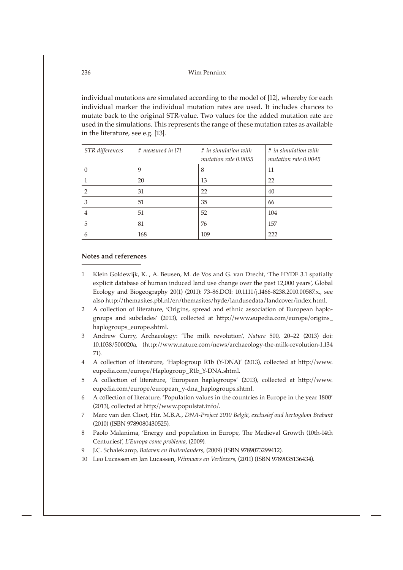individual mutations are simulated according to the model of [12], whereby for each individual marker the individual mutation rates are used. It includes chances to mutate back to the original STR-value. Two values for the added mutation rate are used in the simulations. This represents the range of these mutation rates as available in the literature, see e.g. [13].

| STR differences | # measured in [7] | $#$ in simulation with<br>mutation rate 0.0055 | $#$ in simulation with<br>mutation rate 0.0045 |
|-----------------|-------------------|------------------------------------------------|------------------------------------------------|
|                 | 9                 | 8                                              | 11                                             |
|                 | 20                | 13                                             | 22                                             |
| ာ               | 31                | 22                                             | 40                                             |
| 3               | 51                | 35                                             | 66                                             |
|                 | 51                | 52                                             | 104                                            |
| 5               | 81                | 76                                             | 157                                            |
| h               | 168               | 109                                            | 222                                            |

### **Notes and references**

- 1 Klein Goldewijk, K. , A. Beusen, M. de Vos and G. van Drecht, 'The HYDE 3.1 spatially explicit database of human induced land use change over the past 12,000 years', Global Ecology and Biogeography 20(1) (2011): 73-86.DOI: 10.1111/j.1466-8238.2010.00587.x., see also http://themasites.pbl.nl/en/themasites/hyde/landusedata/landcover/index.html.
- 2 A collection of literature, 'Origins, spread and ethnic association of European haplogroups and subclades' (2013), collected at http://www.eupedia.com/europe/origins\_ haplogroups\_europe.shtml.
- 3 Andrew Curry, Archaeology: 'The milk revolution', *Nature* 500, 20–22 (2013) doi: 10.1038/500020a, (http://www.nature.com/news/archaeology-the-milk-revolution-1.134 71).
- 4 A collection of literature, 'Haplogroup R1b (Y-DNA)' (2013), collected at http://www. eupedia.com/europe/Haplogroup\_R1b\_Y-DNA.shtml.
- 5 A collection of literature, 'European haplogroups' (2013), collected at http://www. eupedia.com/europe/european\_y-dna\_haplogroups.shtml.
- 6 A collection of literature, 'Population values in the countries in Europe in the year 1800' (2013), collected at http://www.populstat.info/.
- 7 Marc van den Cloot, Hir. M.B.A., *DNA-Project 2010 België, exclusief oud hertogdom Brabant* (2010) (ISBN 9789080430525).
- 8 Paolo Malanima, 'Energy and population in Europe, The Medieval Growth (10th-14th Centuries)', *L'Europa come problema*, (2009)*.*
- 9 J.C. Schalekamp, *Bataven en Buitenlanders*, (2009) (ISBN 9789073299412).
- 10 Leo Lucassen en Jan Lucassen, *Winnaars en Verliezers,* (2011) (ISBN 9789035136434).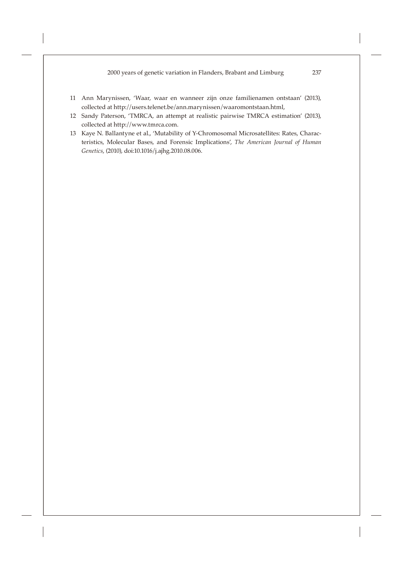- 11 Ann Marynissen, 'Waar, waar en wanneer zijn onze familienamen ontstaan' (2013), collected at http://users.telenet.be/ann.marynissen/waaromontstaan.html,
- 12 Sandy Paterson, 'TMRCA, an attempt at realistic pairwise TMRCA estimation' (2013), collected at http://www.tmrca.com.
- 13 Kaye N. Ballantyne et al., 'Mutability of Y-Chromosomal Microsatellites: Rates, Characteristics, Molecular Bases, and Forensic Implications', *The American Journal of Human Genetics*, (2010), doi:10.1016/j.ajhg.2010.08.006.